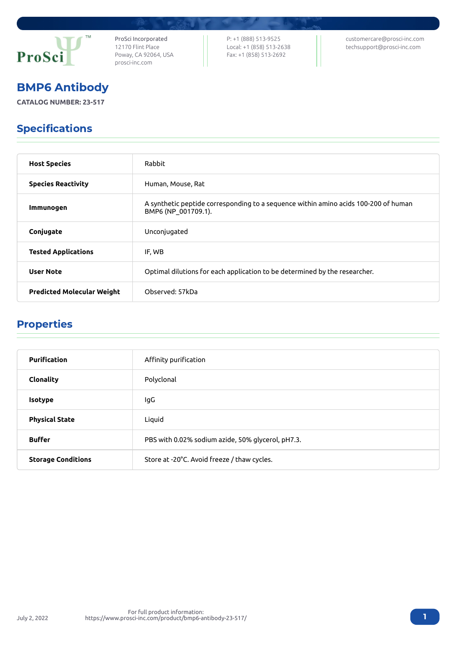

ProSci Incorporated 12170 Flint Place Poway, CA 92064, USA [prosci-inc.com](https://prosci-inc.com/)

P: +1 (888) 513-9525 Local: +1 (858) 513-2638 Fax: +1 (858) 513-2692

[customercare@prosci-inc.com](mailto:customercare@prosci-inc.com) [techsupport@prosci-inc.com](mailto:techsupport@prosci-inc.com)

# BMP6 Antibody

**CATALOG NUMBER: 23-517**

## Specifications

| <b>Host Species</b>               | Rabbit                                                                                                     |
|-----------------------------------|------------------------------------------------------------------------------------------------------------|
| <b>Species Reactivity</b>         | Human, Mouse, Rat                                                                                          |
| <b>Immunogen</b>                  | A synthetic peptide corresponding to a sequence within amino acids 100-200 of human<br>BMP6 (NP_001709.1). |
| Conjugate                         | Unconjugated                                                                                               |
| <b>Tested Applications</b>        | IF, WB                                                                                                     |
| <b>User Note</b>                  | Optimal dilutions for each application to be determined by the researcher.                                 |
| <b>Predicted Molecular Weight</b> | Observed: 57kDa                                                                                            |

### Properties

| <b>Purification</b>       | Affinity purification                             |
|---------------------------|---------------------------------------------------|
| Clonality                 | Polyclonal                                        |
| <b>Isotype</b>            | lgG                                               |
| <b>Physical State</b>     | Liquid                                            |
| <b>Buffer</b>             | PBS with 0.02% sodium azide, 50% glycerol, pH7.3. |
| <b>Storage Conditions</b> | Store at -20°C. Avoid freeze / thaw cycles.       |